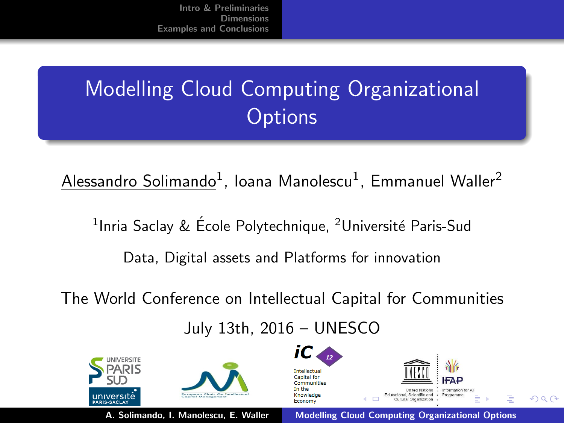# **Modelling Cloud Computing Organizational Options**

 ${\sf Alessandro}\ {\sf Solimando^1}$ , Ioana Manolescu $^1$ , Emmanuel Waller $^2$ 

<sup>1</sup>Inria Saclay & École Polytechnique, <sup>2</sup>Université Paris-Sud Data, Digital assets and Platforms for innovation

The World Conference on Intellectual Capital for Communities

#### <span id="page-0-0"></span>July 13th, 2016 – UNESCO



A. Solimando, I. Manolescu, E. Waller [Modelling Cloud Computing Organizational Options](#page-13-0)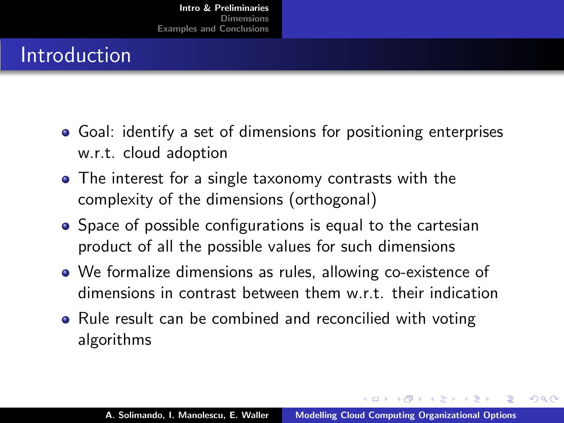# Introduction

- Goal: identify a set of dimensions for positioning enterprises w.r.t. cloud adoption
- The interest for a single taxonomy contrasts with the complexity of the dimensions (orthogonal)
- Space of possible configurations is equal to the cartesian product of all the possible values for such dimensions
- We formalize dimensions as rules, allowing co-existence of dimensions in contrast between them w.r.t. their indication
- Rule result can be combined and reconcilied with voting algorithms

オタト オミト オミト

<span id="page-1-0"></span>へのへ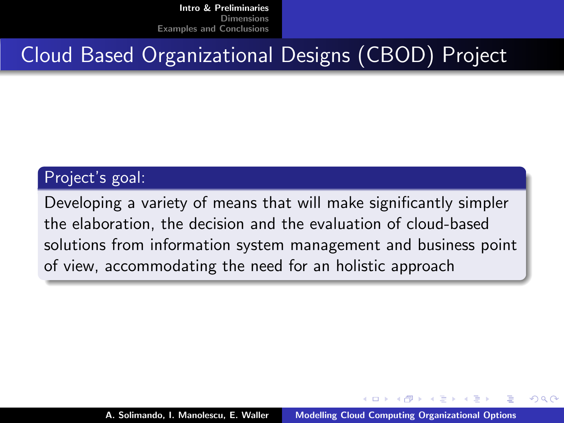### Cloud Based Organizational Designs (CBOD) Project

#### Project's goal:

Developing a variety of means that will make significantly simpler the elaboration, the decision and the evaluation of cloud-based solutions from information system management and business point of view, accommodating the need for an holistic approach

オタト オチト オチト

へのへ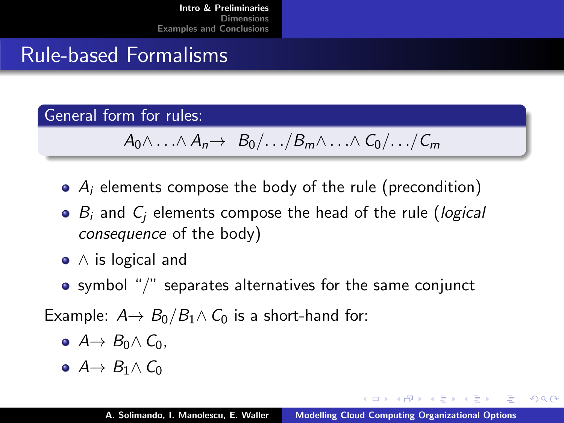## Rule-based Formalisms

General form for rules:

$$
A_0 \wedge \ldots \wedge A_n \rightarrow B_0/ \ldots / B_m \wedge \ldots \wedge C_0/ \ldots / C_m
$$

- $\bullet$  A<sub>i</sub> elements compose the body of the rule (precondition)
- $\bullet$  B<sub>i</sub> and C<sub>i</sub> elements compose the head of the rule (logical consequence of the body)
- ∧ is logical and
- symbol "/" separates alternatives for the same conjunct

Example:  $A \rightarrow B_0/B_1 \land C_0$  is a short-hand for:

- $\bullet$  A  $\rightarrow$  B<sub>0</sub> $\land$  C<sub>0</sub>,
- $A \rightarrow B_1 \wedge C_0$

K 御 ▶ K 君 ▶ K 君 ▶

 $2Q$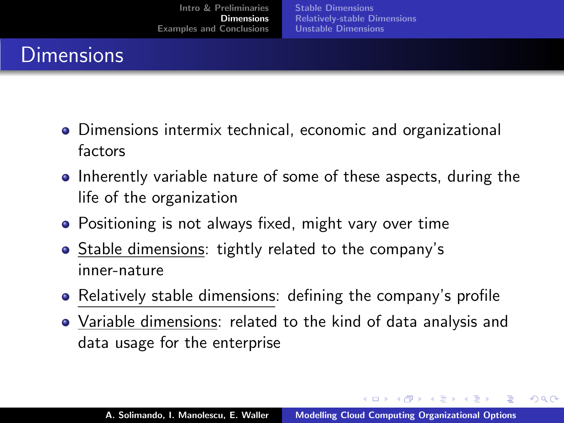# **Dimensions**

- Dimensions intermix technical, economic and organizational factors
- Inherently variable nature of some of these aspects, during the life of the organization
- Positioning is not always fixed, might vary over time
- Stable dimensions: tightly related to the company's inner-nature
- Relatively stable dimensions: defining the company's profile
- Variable dimensions: related to the kind of data analysis and data usage for the enterprise

イロメ マ桐 メラミンマチャ

<span id="page-4-0"></span> $\Omega$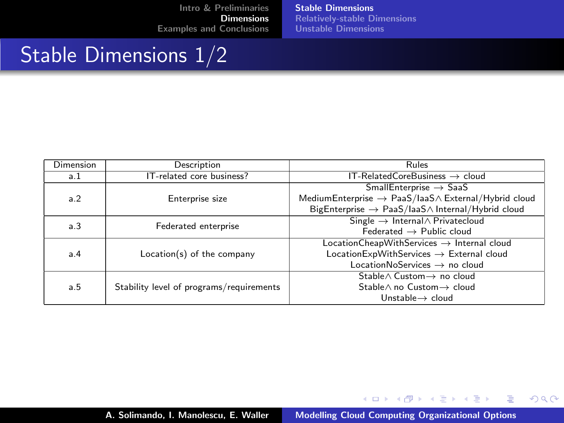[Stable Dimensions](#page-5-0) [Relatively-stable Dimensions](#page-7-0) [Unstable Dimensions](#page-8-0)

#### Stable Dimensions 1/2

| Dimension | Description                              | Rules                                                                  |
|-----------|------------------------------------------|------------------------------------------------------------------------|
| a.1       | IT-related core business?                | $IT-RelatedCoreBusiness \rightarrow cloud$                             |
| a.2       | Enterprise size                          | $Small Enterprise \rightarrow SaaS$                                    |
|           |                                          | MediumEnterprise $\rightarrow$ PaaS/laaS $\land$ External/Hybrid cloud |
|           |                                          | BigEnterprise $\rightarrow$ PaaS/laaS $\land$ Internal/Hybrid cloud    |
| a.3       | Federated enterprise                     | Single $\rightarrow$ Internal $\wedge$ Privatecloud                    |
|           |                                          | Eederated $\rightarrow$ Public cloud                                   |
| a.4       | Location(s) of the company               | $LocationCheapWith Services \rightarrow Internal cloud$                |
|           |                                          | $LocationExpWithServices \rightarrow External cloud$                   |
|           |                                          | LocationNoServices $\rightarrow$ no cloud                              |
| a.5       | Stability level of programs/requirements | Stable $\land$ Custom $\rightarrow$ no cloud                           |
|           |                                          | Stable $\land$ no Custom $\rightarrow$ cloud                           |
|           |                                          | Unstable $\rightarrow$ cloud                                           |

イロト イ押 トイモト イモト

<span id="page-5-0"></span> $\equiv$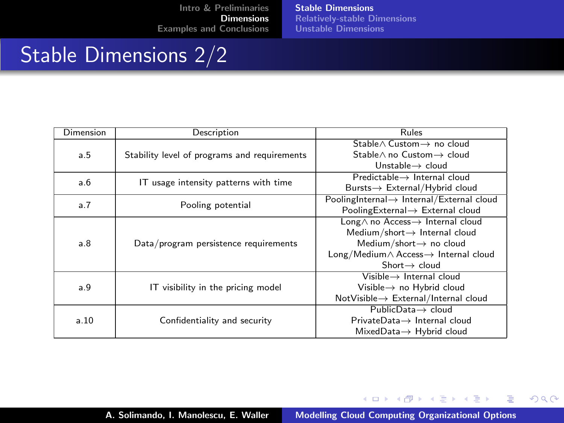[Stable Dimensions](#page-5-0) [Relatively-stable Dimensions](#page-7-0) [Unstable Dimensions](#page-8-0)

#### Stable Dimensions 2/2

| Dimension | Description                                  | Rules                                                   |
|-----------|----------------------------------------------|---------------------------------------------------------|
| a.5       | Stability level of programs and requirements | Stable∧ Custom → no cloud                               |
|           |                                              | Stable $\land$ no Custom $\rightarrow$ cloud            |
|           |                                              | Unstable $\rightarrow$ cloud                            |
| a.6       | IT usage intensity patterns with time        | $Predictable \rightarrow Internal cloud$                |
|           |                                              | Bursts→ External/Hybrid cloud                           |
| a.7       | Pooling potential                            | PoolingInternal $\rightarrow$ Internal/External cloud   |
|           |                                              | PoolingExternal → External cloud                        |
| a.8       | Data/program persistence requirements        | Long∧ no Access-> Internal cloud                        |
|           |                                              | Medium/short $\rightarrow$ Internal cloud               |
|           |                                              | Medium/short $\rightarrow$ no cloud                     |
|           |                                              | $Long/ Medium \wedge Access \rightarrow Internal cloud$ |
|           |                                              | $Short \rightarrow cloud$                               |
| a.9       | IT visibility in the pricing model           | $V$ isible $\rightarrow$ Internal cloud                 |
|           |                                              | Visible $\rightarrow$ no Hybrid cloud                   |
|           |                                              | $NotV isible \rightarrow External/Internal cloud$       |
| a.10      | Confidentiality and security                 | $PublicData \rightarrow cloud$                          |
|           |                                              | $PrivateData \rightarrow$ Internal cloud                |
|           |                                              | $MixedData \rightarrow Hybrid cloud$                    |

イロト イ押 トイモト イモト

 $\equiv$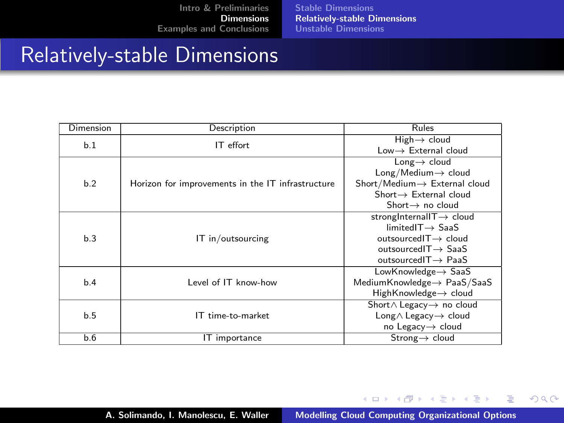[Stable Dimensions](#page-5-0) [Relatively-stable Dimensions](#page-7-0) [Unstable Dimensions](#page-8-0)

#### Relatively-stable Dimensions

| Dimension | Description                                       | Rules                                     |
|-----------|---------------------------------------------------|-------------------------------------------|
| b.1       | IT effort                                         | $High \rightarrow cloud$                  |
|           |                                                   | $Low \rightarrow$ External cloud          |
| h.2       | Horizon for improvements in the IT infrastructure | Long $\rightarrow$ cloud                  |
|           |                                                   | $Long/Median \rightarrow cloud$           |
|           |                                                   | Short/Medium $\rightarrow$ External cloud |
|           |                                                   | $Short \rightarrow External$ cloud        |
|           |                                                   | Short $\rightarrow$ no cloud              |
| b.3       | IT in/outsourcing                                 | strongInternalIT $\rightarrow$ cloud      |
|           |                                                   | $limitedIT \rightarrow SaaS$              |
|           |                                                   | outsourced $T \rightarrow$ cloud          |
|           |                                                   | outsourced $T \rightarrow$ SaaS           |
|           |                                                   | outsourced $T \rightarrow$ PaaS           |
| b.4       |                                                   | LowKnowledge $\rightarrow$ SaaS           |
|           | Level of IT know-how                              | MediumKnowledge $\rightarrow$ PaaS/SaaS   |
|           |                                                   | HighKnowledge→ cloud                      |
| b.5       | IT time-to-market                                 | Short∧ Legacy  → no cloud                 |
|           |                                                   | Long $\wedge$ Legacy $\rightarrow$ cloud  |
|           |                                                   | no Legacy $\rightarrow$ cloud             |
| b.6       | IT importance                                     | Strong $\rightarrow$ cloud                |

イロト イ押 トイモト イモト

<span id="page-7-0"></span>重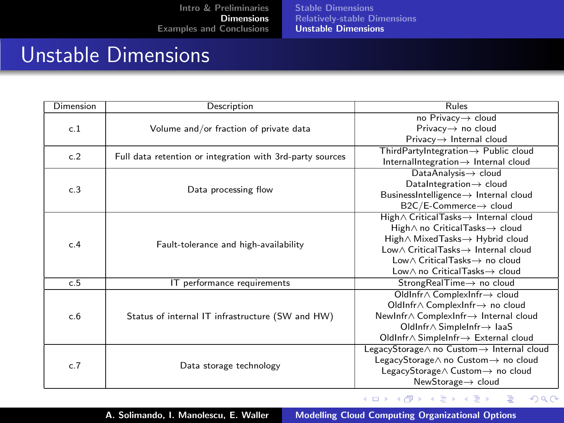[Stable Dimensions](#page-5-0) [Relatively-stable Dimensions](#page-7-0) [Unstable Dimensions](#page-8-0)

#### Unstable Dimensions

| Dimension | Description                                               | Rules                                            |
|-----------|-----------------------------------------------------------|--------------------------------------------------|
| c.1       | Volume and/or fraction of private data                    | no Privacy→ cloud                                |
|           |                                                           | Privacy $\rightarrow$ no cloud                   |
|           |                                                           | $Privacy \rightarrow$ Internal cloud             |
| c.2       | Full data retention or integration with 3rd-party sources | $ThirdPartvIntegration \rightarrow Public cloud$ |
|           |                                                           | InternalIntegration $\rightarrow$ Internal cloud |
| c.3       | Data processing flow                                      | DataAnalysis $\rightarrow$ cloud                 |
|           |                                                           | DataIntegration -> cloud                         |
|           |                                                           | BusinessIntelligence -> Internal cloud           |
|           |                                                           | B2C/E-Commerce→ cloud                            |
|           | Fault-tolerance and high-availability                     | High∧ CriticalTasks→ Internal cloud              |
|           |                                                           | High∧ no CriticalTasks → cloud                   |
| c.4       |                                                           | High∧ Mixed Tasks → Hybrid cloud                 |
|           |                                                           | Low∧ CriticalTasks→ Internal cloud               |
|           |                                                           | Low∧ CriticalTasks → no cloud                    |
|           |                                                           | Low∧ no CriticalTasks→ cloud                     |
| c.5       | IT performance requirements                               | $StrongRealTime \rightarrow no cloud$            |
|           | Status of internal IT infrastructure (SW and HW)          | OldInfr∧ ComplexInfr → cloud                     |
|           |                                                           | OldInfr∧ ComplexInfr  in the cloud               |
| c.6       |                                                           | NewInfr∧ ComplexInfr-> Internal cloud            |
|           |                                                           | OldInfr $\land$ SimpleInfr $\rightarrow$ IaaS    |
|           |                                                           | OldInfr∧ SimpleInfr-> External cloud             |
| c.7       | Data storage technology                                   | LegacyStorage∧ no Custom → Internal cloud        |
|           |                                                           | LegacyStorage∧ no Custom → no cloud              |
|           |                                                           | LegacyStorage∧ Custom -> no cloud                |
|           |                                                           | NewStorage $\rightarrow$ cloud                   |

イロト イ部 トイヨ トイヨト

<span id="page-8-0"></span> $\equiv$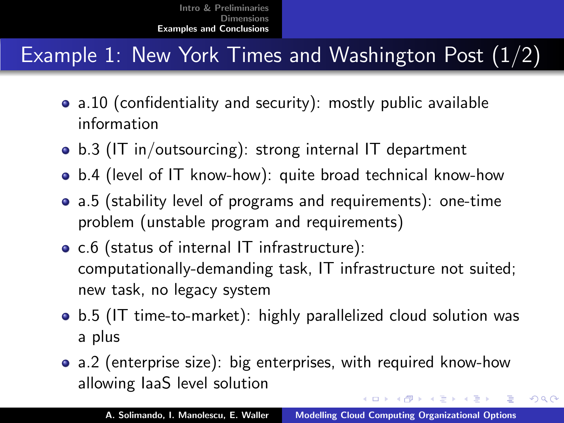#### **Example 1: New York Times and Washington Post (1/2)**

- a.10 (confidentiality and security): mostly public available information
- b.3 (IT in/outsourcing): strong internal IT department
- b.4 (level of IT know-how): quite broad technical know-how
- a.5 (stability level of programs and requirements): one-time problem (unstable program and requirements)
- c.6 (status of internal IT infrastructure): computationally-demanding task, IT infrastructure not suited; new task, no legacy system
- b.5 (IT time-to-market): highly parallelized cloud solution was a plus
- a.2 (enterprise size): big enterprises, with required know-how allowing IaaS level solution

イロメ マ桐 メラミンマチャ

<span id="page-9-0"></span> $2Q$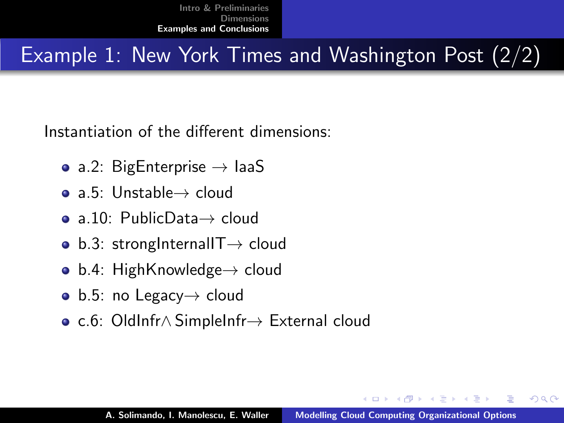#### **Example 1: New York Times and Washington Post (2/2)**

Instantiation of the different dimensions:

- a.2: BigEnterprise  $\rightarrow$  laaS
- a.5: Unstable→ cloud
- a.10: PublicData→ cloud
- b.3: strongInternalIT $\rightarrow$  cloud
- b.4: HighKnowledge $\rightarrow$  cloud
- b.5: no Legacy $\rightarrow$  cloud
- c.6: OldInfr∧ SimpleInfr→ External cloud

<span id="page-10-0"></span>へのへ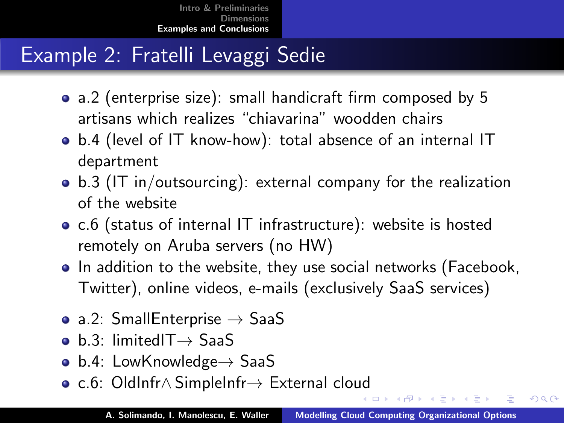## Example 2: Fratelli Levaggi Sedie

- a.2 (enterprise size): small handicraft firm composed by 5 artisans which realizes "chiavarina" woodden chairs
- b.4 (level of IT know-how): total absence of an internal IT department
- b.3 (IT in/outsourcing): external company for the realization of the website
- c.6 (status of internal IT infrastructure): website is hosted remotely on Aruba servers (no HW)
- In addition to the website, they use social networks (Facebook, Twitter), online videos, e-mails (exclusively SaaS services)
- a.2: SmallEnterprise  $\rightarrow$  SaaS
- b.3: limitedIT→ SaaS
- b.4: LowKnowledge $\rightarrow$  SaaS
- c.6: OldInfr∧ SimpleInfr→ External clo[ud](#page-10-0)

 $2Q$ 

ロト マタトマ ミトマ ミトー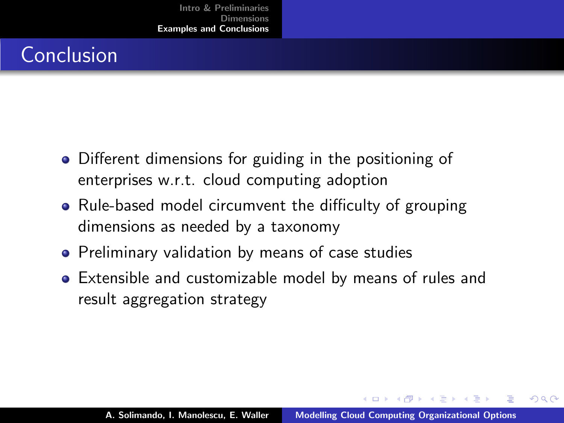# Conclusion

- Different dimensions for guiding in the positioning of enterprises w.r.t. cloud computing adoption
- Rule-based model circumvent the difficulty of grouping dimensions as needed by a taxonomy
- **•** Preliminary validation by means of case studies
- Extensible and customizable model by means of rules and result aggregation strategy

 $\Omega$